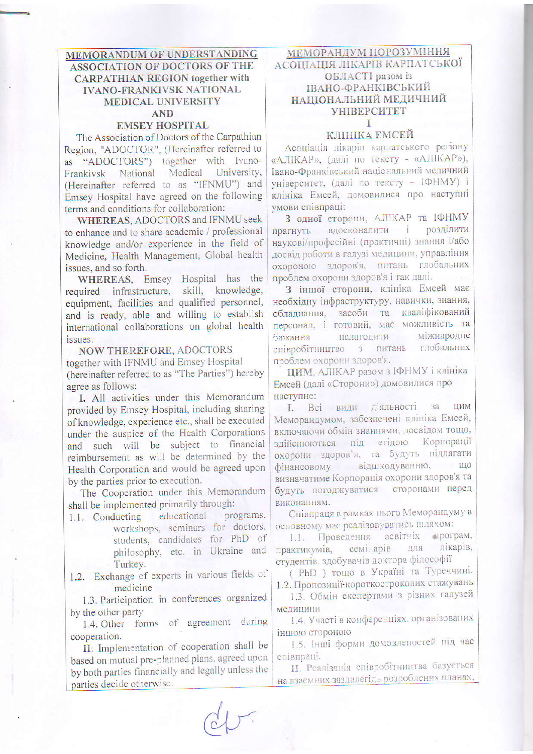MEMORANDUM OF UNDERSTANDING **ASSOCIATION OF DOCTORS OF THE CARPATHIAN REGION together with IVANO-FRANKIVSK NATIONAL MEDICAL UNIVERSITY AND** 

## **EMSEY HOSPITAL**

The Association of Doctors of the Carpathian Region, "ADOCTOR", (Hereinafter referred to as "ADOCTORS") together with Ivano-Frankivsk National Medical University, (Hereinafter referred to as "IFNMU") and Emsey Hospital have agreed on the following terms and conditions for collaboration:

WHEREAS, ADOCTORS and IFNMU seek to enhance and to share academic / professional knowledge and/or experience in the field of Medicine, Health Management, Global health issues, and so forth.

WHEREAS, Emsey Hospital has the required infrastructure, skill, knowledge, equipment, facilities and qualified personnel, and is ready, able and willing to establish international collaborations on global health issues.

**NOW THEREFORE, ADOCTORS** together with IFNMU and Emsey Hospital (hereinafter referred to as "The Parties") hereby agree as follows:

I. All activities under this Memorandum provided by Emsey Hospital, including sharing of knowledge, experience etc., shall be executed under the auspice of the Health Corporations and such will be subject to financial reimbursement as will be determined by the Health Corporation and would be agreed upon by the parties prior to execution.

The Cooperation under this Memorandum shall be implemented primarily through:

- educational programs, 1.1. Conducting workshops, seminars for doctors, students, candidates for PhD of philosophy, etc. in Ukraine and Turkey.
- 1.2. Exchange of experts in various fields of medicine

1.3. Participation in conferences organized by the other party

1.4. Other forms of agreement during cooperation.

II: Implementation of cooperation shall be based on mutual pre-planned plans, agreed upon by both parties financially and legally unless the parties decide otherwise.

МЕМОРАНДУМ ПОРОЗУМІННЯ АСОЦІАЦІЯ ЛІКАРІВ КАРПАТСЬКОЇ ОБЛАСТІ разом із ІВАНО-ФРАНКІВСЬКИЙ НАЦІОНАЛЬНИЙ МЕДИЧНИЙ **VHIBEPCUTET** Ī

## КЛІНІКА ЕМСЕЙ

Асоціація лікарів карпатського регіону «АЛІКАР», (далі по тексту - «АЛІКАР»), Івано-Франківський національний медичний університет, (далі по тексту - IФHMУ) і клініка Емсей, домовилися про наступні умови співпраці:

3 одної сторени, АЛІКАР та ІФНМУ прагнуть вдосконалити і розділити наукові/професійні (практичні) знання і/або досвід роботи в галузі медицини, управління охороною здоров'я, питань глобальних проблем охорони здоров'я і так далі.

З іншої сторони, клініка Емсей має необхідну інфраструктуру, навички, знання, обладнання, засоби та кваліфікований персонал, і готовий, має можливість та налагодити міжнародне бажання співробітництво з питань глобальних проблем охорони здоров'я.

**ПИМ**, АЛІКАР разом з ІФНМУ і клініка Емсей (далі «Сторони») домовилися про наступне:

I. Всі види діяльності 33 ЦИМ Меморандумом, забезпечені клініка Емсей, включаючи обмін знаннями, досвідом тощо, здійснюються під егідою Корпорації охорони здоров'я, та будуть підлягати відшкодуванню, що фінансовому визначатиме Корпорація охорони здоров'я та будуть погоджуватися сторонами перед виконанням.

Співпраця в рамках цього Меморандуму в основному має реалізовуватись шляхом:

освітніх програм, 1.1. Проведення лікарів, семінарів ДЛЯ практикумів, студентів, здобувачів доктора філософії

( PhD ) тощо в Україні та Туреччині. 1.2. Пропозиції короткострокових стажувань

1.3. Обмін експертами з різних галузей медицини

1.4. Участі в конференціях, організованих іншою стороною

1.5. Інші форми домовленостей під час співпраці.

П. Реалізація співробітництва базується на взаємних заздалегідь розроблених планах,